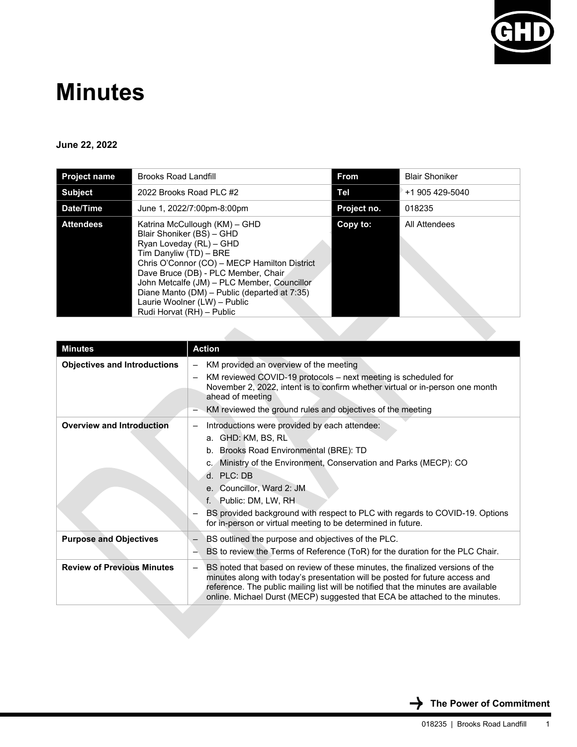

## **Minutes**

## **June 22, 2022**

| <b>Project name</b> | <b>Brooks Road Landfill</b>                                                                                                                                                                                                                                                                                                                                        | <b>From</b> | <b>Blair Shoniker</b> |
|---------------------|--------------------------------------------------------------------------------------------------------------------------------------------------------------------------------------------------------------------------------------------------------------------------------------------------------------------------------------------------------------------|-------------|-----------------------|
| <b>Subject</b>      | 2022 Brooks Road PLC #2                                                                                                                                                                                                                                                                                                                                            | Tel         | +1 905 429-5040       |
| Date/Time           | June 1, 2022/7:00pm-8:00pm                                                                                                                                                                                                                                                                                                                                         | Project no. | 018235                |
| <b>Attendees</b>    | Katrina McCullough (KM) – GHD<br>Blair Shoniker (BS) - GHD<br>Ryan Loveday (RL) - GHD<br>Tim Danyliw (TD) - BRE<br>Chris O'Connor (CO) - MECP Hamilton District<br>Dave Bruce (DB) - PLC Member, Chair<br>John Metcalfe (JM) - PLC Member, Councillor<br>Diane Manto (DM) – Public (departed at 7:35)<br>Laurie Woolner (LW) - Public<br>Rudi Horvat (RH) - Public | Copy to:    | All Attendees         |

| <b>Minutes</b>                      | <b>Action</b>                                                                                                                                                                                                                                                                                                                                                                                          |
|-------------------------------------|--------------------------------------------------------------------------------------------------------------------------------------------------------------------------------------------------------------------------------------------------------------------------------------------------------------------------------------------------------------------------------------------------------|
| <b>Objectives and Introductions</b> | KM provided an overview of the meeting<br>$\qquad \qquad -$<br>KM reviewed COVID-19 protocols - next meeting is scheduled for<br>November 2, 2022, intent is to confirm whether virtual or in-person one month<br>ahead of meeting<br>KM reviewed the ground rules and objectives of the meeting                                                                                                       |
| <b>Overview and Introduction</b>    | Introductions were provided by each attendee:<br>a. GHD: KM, BS, RL<br>b. Brooks Road Environmental (BRE): TD<br>c. Ministry of the Environment, Conservation and Parks (MECP): CO<br>d. PLC: DB<br>e. Councillor, Ward 2: JM<br>f. Public: DM, LW, RH<br>BS provided background with respect to PLC with regards to COVID-19. Options<br>for in-person or virtual meeting to be determined in future. |
| <b>Purpose and Objectives</b>       | BS outlined the purpose and objectives of the PLC.<br>$\qquad \qquad -$<br>BS to review the Terms of Reference (ToR) for the duration for the PLC Chair.                                                                                                                                                                                                                                               |
| <b>Review of Previous Minutes</b>   | BS noted that based on review of these minutes, the finalized versions of the<br>$\overline{\phantom{0}}$<br>minutes along with today's presentation will be posted for future access and<br>reference. The public mailing list will be notified that the minutes are available<br>online. Michael Durst (MECP) suggested that ECA be attached to the minutes.                                         |

 **The Power of Commitment**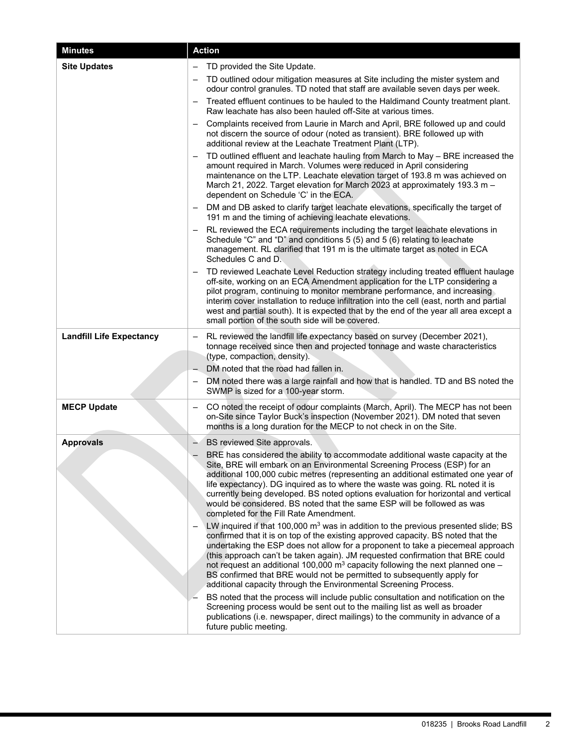| <b>Minutes</b>                  | <b>Action</b>                                                                                                                                                                                                                                                                                                                                                                                                                                                                                                                                                                             |
|---------------------------------|-------------------------------------------------------------------------------------------------------------------------------------------------------------------------------------------------------------------------------------------------------------------------------------------------------------------------------------------------------------------------------------------------------------------------------------------------------------------------------------------------------------------------------------------------------------------------------------------|
| <b>Site Updates</b>             | TD provided the Site Update.                                                                                                                                                                                                                                                                                                                                                                                                                                                                                                                                                              |
|                                 | TD outlined odour mitigation measures at Site including the mister system and<br>odour control granules. TD noted that staff are available seven days per week.                                                                                                                                                                                                                                                                                                                                                                                                                           |
|                                 | Treated effluent continues to be hauled to the Haldimand County treatment plant.<br>Raw leachate has also been hauled off-Site at various times.                                                                                                                                                                                                                                                                                                                                                                                                                                          |
|                                 | Complaints received from Laurie in March and April, BRE followed up and could<br>not discern the source of odour (noted as transient). BRE followed up with<br>additional review at the Leachate Treatment Plant (LTP).                                                                                                                                                                                                                                                                                                                                                                   |
|                                 | TD outlined effluent and leachate hauling from March to May - BRE increased the<br>amount required in March. Volumes were reduced in April considering<br>maintenance on the LTP. Leachate elevation target of 193.8 m was achieved on<br>March 21, 2022. Target elevation for March 2023 at approximately 193.3 m -<br>dependent on Schedule 'C' in the ECA.                                                                                                                                                                                                                             |
|                                 | DM and DB asked to clarify target leachate elevations, specifically the target of<br>191 m and the timing of achieving leachate elevations.                                                                                                                                                                                                                                                                                                                                                                                                                                               |
|                                 | RL reviewed the ECA requirements including the target leachate elevations in<br>Schedule "C" and "D" and conditions 5 (5) and 5 (6) relating to leachate<br>management. RL clarified that 191 m is the ultimate target as noted in ECA<br>Schedules C and D.                                                                                                                                                                                                                                                                                                                              |
|                                 | TD reviewed Leachate Level Reduction strategy including treated effluent haulage<br>off-site, working on an ECA Amendment application for the LTP considering a<br>pilot program, continuing to monitor membrane performance, and increasing<br>interim cover installation to reduce infiltration into the cell (east, north and partial<br>west and partial south). It is expected that by the end of the year all area except a<br>small portion of the south side will be covered.                                                                                                     |
| <b>Landfill Life Expectancy</b> | RL reviewed the landfill life expectancy based on survey (December 2021),<br>tonnage received since then and projected tonnage and waste characteristics<br>(type, compaction, density).                                                                                                                                                                                                                                                                                                                                                                                                  |
|                                 | DM noted that the road had fallen in.<br>DM noted there was a large rainfall and how that is handled. TD and BS noted the<br>SWMP is sized for a 100-year storm.                                                                                                                                                                                                                                                                                                                                                                                                                          |
| <b>MECP Update</b>              | CO noted the receipt of odour complaints (March, April). The MECP has not been<br>on-Site since Taylor Buck's inspection (November 2021). DM noted that seven<br>months is a long duration for the MECP to not check in on the Site.                                                                                                                                                                                                                                                                                                                                                      |
| <b>Approvals</b>                | BS reviewed Site approvals.                                                                                                                                                                                                                                                                                                                                                                                                                                                                                                                                                               |
|                                 | BRE has considered the ability to accommodate additional waste capacity at the<br>Site, BRE will embark on an Environmental Screening Process (ESP) for an<br>additional 100,000 cubic metres (representing an additional estimated one year of<br>life expectancy). DG inquired as to where the waste was going. RL noted it is<br>currently being developed. BS noted options evaluation for horizontal and vertical<br>would be considered. BS noted that the same ESP will be followed as was<br>completed for the Fill Rate Amendment.                                               |
|                                 | LW inquired if that 100,000 $m3$ was in addition to the previous presented slide; BS<br>confirmed that it is on top of the existing approved capacity. BS noted that the<br>undertaking the ESP does not allow for a proponent to take a piecemeal approach<br>(this approach can't be taken again). JM requested confirmation that BRE could<br>not request an additional 100,000 $\text{m}^3$ capacity following the next planned one $-$<br>BS confirmed that BRE would not be permitted to subsequently apply for<br>additional capacity through the Environmental Screening Process. |
|                                 | BS noted that the process will include public consultation and notification on the<br>Screening process would be sent out to the mailing list as well as broader<br>publications (i.e. newspaper, direct mailings) to the community in advance of a<br>future public meeting.                                                                                                                                                                                                                                                                                                             |